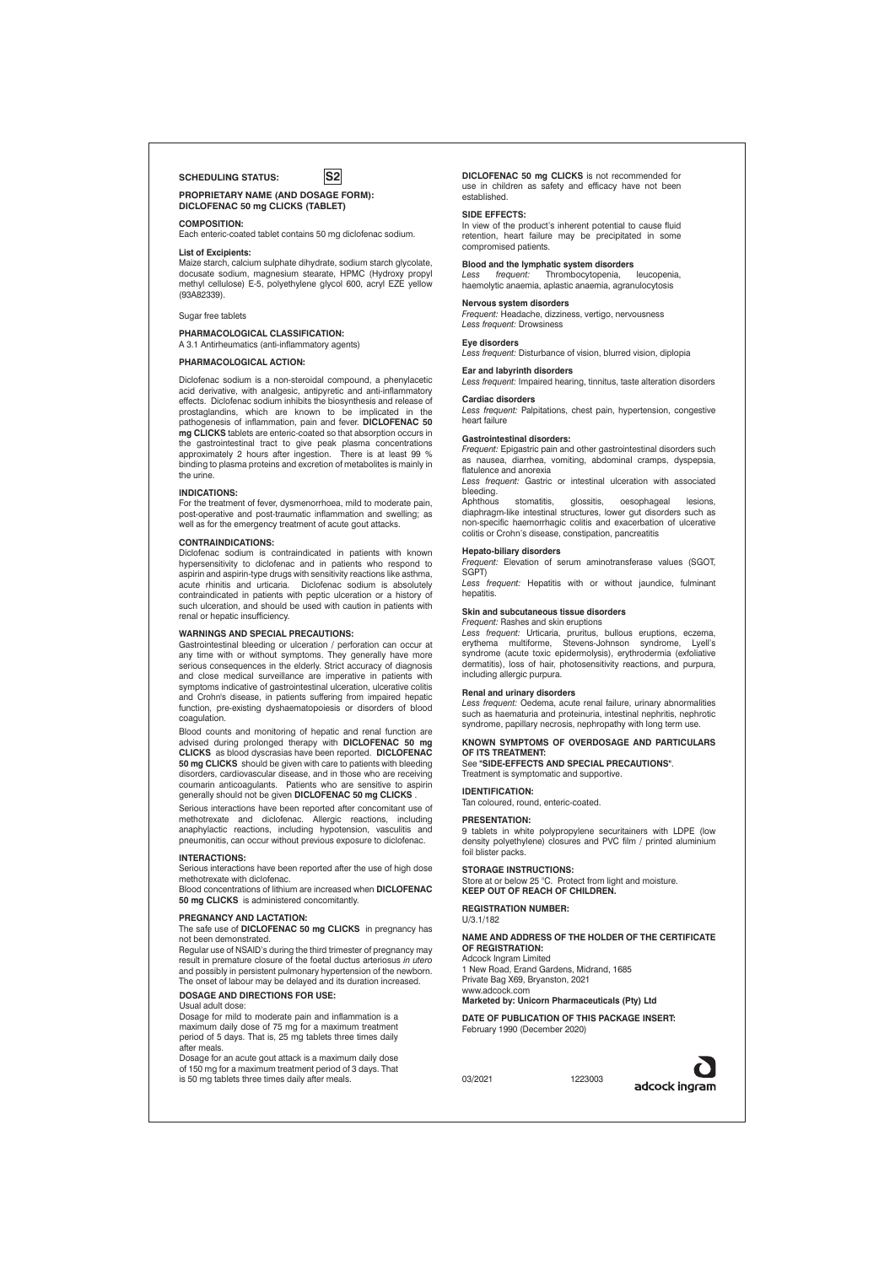# SCHEDULING STATUS: **S2**

**PROPRIETARY NAME (AND DOSAGE FORM): DICLOFENAC 50 mg CLICKS (TABLET)**

# **COMPOSITION:**

Each enteric-coated tablet contains 50 mg diclofenac sodium. **List of Excipients:**

## Maize starch, calcium sulphate dihydrate, sodium starch glycolate,

docusate sodium, magnesium stearate, HPMC (Hydroxy propyl methyl cellulose) E-5, polyethylene glycol 600, acryl EZE yellow (93A82339).

## Sugar free tablets

## **PHARMACOLOGICAL CLASSIFICATION:**

A 3.1 Antirheumatics (anti-inflammatory agents)

# **PHARMACOLOGICAL ACTION:**

Diclofenac sodium is a non-steroidal compound, a phenylacetic acid derivative, with analgesic, antipyretic and anti-inflammatory effects. Diclofenac sodium inhibits the biosynthesis and release of prostaglandins, which are known to be implicated in the pathogenesis of inflammation, pain and fever. **DICLOFENAC 50 mg CLICKS** tablets are enteric-coated so that absorption occurs in the gastrointestinal tract to give peak plasma concentrations approximately 2 hours after ingestion. There is at least 99 % binding to plasma proteins and excretion of metabolites is mainly in the urine

## **INDICATIONS:**

For the treatment of fever, dysmenorrhoea, mild to moderate pain, post-operative and post-traumatic inflammation and swelling; as well as for the emergency treatment of acute gout attacks.

### **CONTRAINDICATIONS:**

Diclofenac sodium is contraindicated in patients with known hypersensitivity to diclofenac and in patients who respond to aspirin and aspirin-type drugs with sensitivity reactions like asthma, acute rhinitis and urticaria. Diclofenac sodium is absolutely contraindicated in patients with peptic ulceration or a history of such ulceration, and should be used with caution in patients with renal or hepatic insufficiency.

## **WARNINGS AND SPECIAL PRECAUTIONS:**

Gastrointestinal bleeding or ulceration / perforation can occur at any time with or without symptoms. They generally have more serious consequences in the elderly. Strict accuracy of diagnosis and close medical surveillance are imperative in patients with symptoms indicative of gastrointestinal ulceration, ulcerative colitis and Crohn's disease, in patients suffering from impaired hepatic function, pre-existing dyshaematopoiesis or disorders of blood coagulation.

Blood counts and monitoring of hepatic and renal function are advised during prolonged therapy with **DICLOFENAC 50 mg CLICKS** as blood dyscrasias have been reported. **DICLOFENAC 50 mg CLICKS** should be given with care to patients with bleeding disorders, cardiovascular disease, and in those who are receiving coumarin anticoagulants. Patients who are sensitive to aspirin generally should not be given **DICLOFENAC 50 mg CLICKS** .

Serious interactions have been reported after concomitant use of methotrexate and diclofenac. Allergic reactions, including methological and disobolistic reactions, including hypotension, vasculitis and pneumonitis, can occur without previous exposure to diclofenac.

#### **INTERACTIONS:**

Serious interactions have been reported after the use of high dose methotrexate with diclofenac.

Blood concentrations of lithium are increased when **DICLOFENAC 50 mg CLICKS** is administered concomitantly.

## **PREGNANCY AND LACTATION:**

The safe use of **DICLOFENAC 50 mg CLICKS** in pregnancy has not been demonstrated. Regular use of NSAID's during the third trimester of pregnancy may

result in premature closure of the foetal ductus arteriosus *in utero* and possibly in persistent pulmonary hypertension of the newborn. The onset of labour may be delayed and its duration increased.

# **DOSAGE AND DIRECTIONS FOR USE:**

Usual adult dose:

Dosage for mild to moderate pain and inflammation is a maximum daily dose of 75 mg for a maximum treatment period of 5 days. That is, 25 mg tablets three times daily after meals.

Dosage for an acute gout attack is a maximum daily dose of 150 mg for a maximum treatment period of 3 days. That is 50 mg tablets three times daily after meals. **DICLOFENAC 50 mg CLICKS** is not recommended for use in children as safety and efficacy have not been established.

## **SIDE EFFECTS:**

In view of the product's inherent potential to cause fluid retention, heart failure may be precipitated in some compromised patients.

## **Blood and the lymphatic system disorders**<br> *Less frequent:* Thrombocytopenia, leucopenia, *Less frequent:* Thrombocytopenia,

haemolytic anaemia, aplastic anaemia, agranulocytosis

# **Nervous system disorders**

*Frequent:* Headache, dizziness, vertigo, nervousness *Less frequent:* Drowsiness

## **Eye disorders**

*Less frequent:* Disturbance of vision, blurred vision, diplopia

## **Ear and labyrinth disorders** *Less frequent:* Impaired hearing, tinnitus, taste alteration disorders

**Cardiac disorders**

*Less frequent:* Palpitations, chest pain, hypertension, congestive heart failure

## **Gastrointestinal disorders:**

*Frequent:* Epigastric pain and other gastrointestinal disorders such as nausea, diarrhea, vomiting, abdominal cramps, dyspepsia, flatulence and anorexia

*Less frequent:* Gastric or intestinal ulceration with associated bleeding.<br>Aphthous

stomatitis, glossitis, oesophageal lesions, diaphragm-like intestinal structures, lower gut disorders such as non-specific haemorrhagic colitis and exacerbation of ulcerative colitis or Crohn's disease, constipation, pancreatitis

# **Hepato-biliary disorders**

*Frequent:* Elevation of serum aminotransferase values (SGOT, SGPT) *Less frequent:* Hepatitis with or without jaundice, fulminant

hepatitis

# **Skin and subcutaneous tissue disorders**

*Frequent:* Rashes and skin eruptions *Less frequent:* Urticaria, pruritus, bullous eruptions, eczema, erythema multiforme, Stevens-Johnson syndrome, Lyell's syndrome (acute toxic epidermolysis), erythrodermia (exfoliative dermatitis), loss of hair, photosensitivity reactions, and purpura, including allergic purpura.

### **Renal and urinary disorders**

*Less frequent:* Oedema, acute renal failure, urinary abnormalities such as haematuria and proteinuria, intestinal nephritis, nephrotic syndrome, papillary necrosis, nephropathy with long term us

# **KNOWN SYMPTOMS OF OVERDOSAGE AND PARTICULARS**

**OF ITS TREATMENT:** See **"SIDE-EFFECTS AND SPECIAL PRECAUTIONS"**. Treatment is symptomatic and supportive.

**IDENTIFICATION:** Tan coloured, round, enteric-coated.

#### **PRESENTATION:**

9 tablets in white polypropylene securitainers with LDPE (low density polyethylene) closures and PVC film / printed aluminium foil blister packs.

## **STORAGE INSTRUCTIONS:**

Store at or below 25 °C. Protect from light and moisture. **KEEP OUT OF REACH OF CHILDREN.**

**REGISTRATION NUMBER:** U/3.1/182

## **NAME AND ADDRESS OF THE HOLDER OF THE CERTIFICATE OF REGISTRATION:**

Adcock Ingram Limited 1 New Road, Erand Gardens, Midrand, 1685

Private Bag X69, Bryanston, 2021

www.adcock.com **Marketed by: Unicorn Pharmaceuticals (Pty) Ltd**

#### **DATE OF PUBLICATION OF THIS PACKAGE INSERT:**

February 1990 (December 2020)

03/2021 1223003